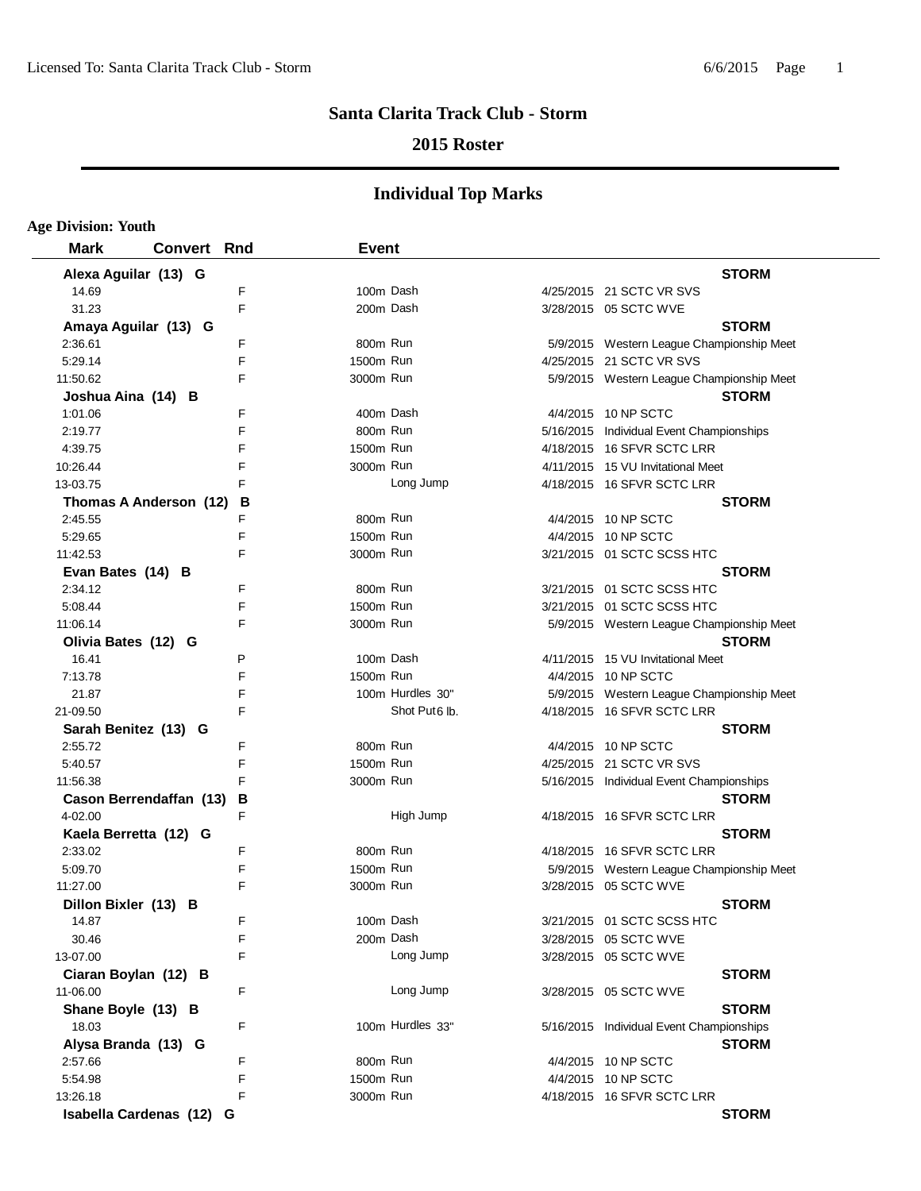## **2015 Roster**

| <b>Age Division: Youth</b>         |                    |    |              |                           |                                                                    |
|------------------------------------|--------------------|----|--------------|---------------------------|--------------------------------------------------------------------|
| <b>Mark</b>                        | <b>Convert Rnd</b> |    | <b>Event</b> |                           |                                                                    |
| Alexa Aguilar (13) G               |                    |    |              |                           | <b>STORM</b>                                                       |
| 14.69                              |                    | F  | 100m Dash    |                           | 4/25/2015 21 SCTC VR SVS                                           |
| 31.23                              |                    | F  | 200m Dash    |                           | 3/28/2015 05 SCTC WVE                                              |
| Amaya Aguilar (13) G               |                    |    |              |                           | <b>STORM</b>                                                       |
| 2:36.61                            |                    | F  | 800m Run     |                           | 5/9/2015 Western League Championship Meet                          |
| 5:29.14                            |                    | F  | 1500m Run    |                           | 4/25/2015 21 SCTC VR SVS                                           |
| 11:50.62                           |                    | F. | 3000m Run    |                           | 5/9/2015 Western League Championship Meet                          |
| Joshua Aina (14) B                 |                    |    |              |                           | <b>STORM</b>                                                       |
| 1:01.06                            |                    | F  | 400m Dash    |                           | 4/4/2015 10 NP SCTC                                                |
| 2:19.77                            |                    | F  | 800m Run     |                           | 5/16/2015 Individual Event Championships                           |
| 4:39.75                            |                    | F  | 1500m Run    |                           | 4/18/2015 16 SFVR SCTC LRR                                         |
| 10:26.44                           |                    | F  | 3000m Run    |                           | 4/11/2015 15 VU Invitational Meet                                  |
| 13-03.75                           |                    | F  |              | Long Jump                 | 4/18/2015 16 SFVR SCTC LRR                                         |
| Thomas A Anderson (12)             |                    | В  |              |                           | <b>STORM</b>                                                       |
| 2:45.55                            |                    | F  | 800m Run     |                           | 4/4/2015 10 NP SCTC                                                |
| 5:29.65                            |                    | F  | 1500m Run    |                           | 4/4/2015 10 NP SCTC                                                |
| 11:42.53                           |                    | F  | 3000m Run    |                           | 3/21/2015 01 SCTC SCSS HTC                                         |
| Evan Bates (14) B                  |                    |    |              |                           | <b>STORM</b>                                                       |
| 2:34.12                            |                    | F  | 800m Run     |                           | 3/21/2015 01 SCTC SCSS HTC                                         |
| 5:08.44                            |                    | F  | 1500m Run    |                           | 3/21/2015 01 SCTC SCSS HTC                                         |
| 11:06.14                           |                    | F  | 3000m Run    |                           | 5/9/2015 Western League Championship Meet                          |
| Olivia Bates (12) G                |                    |    |              |                           | <b>STORM</b>                                                       |
| 16.41                              |                    | P  | 100m Dash    |                           | 4/11/2015 15 VU Invitational Meet                                  |
| 7:13.78                            |                    | F  | 1500m Run    |                           | 4/4/2015 10 NP SCTC                                                |
| 21.87                              |                    | F  |              | 100m Hurdles 30"          | 5/9/2015 Western League Championship Meet                          |
| 21-09.50                           |                    | F  |              | Shot Put <sub>6</sub> lb. | 4/18/2015 16 SFVR SCTC LRR                                         |
|                                    |                    |    |              |                           | <b>STORM</b>                                                       |
| Sarah Benitez (13) G<br>2:55.72    |                    | F  | 800m Run     |                           | 4/4/2015 10 NP SCTC                                                |
| 5:40.57                            |                    | F  | 1500m Run    |                           | 4/25/2015 21 SCTC VR SVS                                           |
| 11:56.38                           |                    | F  | 3000m Run    |                           | 5/16/2015 Individual Event Championships                           |
|                                    |                    | B  |              |                           | <b>STORM</b>                                                       |
| Cason Berrendaffan (13)<br>4-02.00 |                    |    |              | High Jump                 | 4/18/2015 16 SFVR SCTC LRR                                         |
|                                    |                    |    |              |                           |                                                                    |
| Kaela Berretta (12) G<br>2:33.02   |                    | F  | 800m Run     |                           | <b>STORM</b><br>4/18/2015 16 SFVR SCTC LRR                         |
|                                    |                    | F  | 1500m Run    |                           |                                                                    |
| 5:09.70                            |                    | F  | 3000m Run    |                           | 5/9/2015 Western League Championship Meet<br>3/28/2015 05 SCTC WVE |
| 11:27.00                           |                    |    |              |                           |                                                                    |
| Dillon Bixler (13) B               |                    |    |              |                           | <b>STORM</b>                                                       |
| 14.87                              |                    | F  | 100m Dash    |                           | 3/21/2015 01 SCTC SCSS HTC                                         |
| 30.46                              |                    | F  | 200m Dash    |                           | 3/28/2015 05 SCTC WVE                                              |
| 13-07.00                           |                    | F  |              | Long Jump                 | 3/28/2015 05 SCTC WVE                                              |
| Ciaran Boylan (12) B               |                    |    |              |                           | <b>STORM</b>                                                       |
| 11-06.00                           |                    | F  |              | Long Jump                 | 3/28/2015 05 SCTC WVE                                              |
| Shane Boyle (13) B                 |                    |    |              |                           | <b>STORM</b>                                                       |
| 18.03                              |                    | F  |              | 100m Hurdles 33"          | 5/16/2015 Individual Event Championships                           |
| Alysa Branda (13) G                |                    |    |              |                           | <b>STORM</b>                                                       |
| 2:57.66                            |                    | F  | 800m Run     |                           | 4/4/2015 10 NP SCTC                                                |
| 5:54.98                            |                    | F  | 1500m Run    |                           | 4/4/2015 10 NP SCTC                                                |
| 13:26.18                           |                    | F  | 3000m Run    |                           | 4/18/2015 16 SFVR SCTC LRR                                         |
| Isabella Cardenas (12) G           |                    |    |              |                           | <b>STORM</b>                                                       |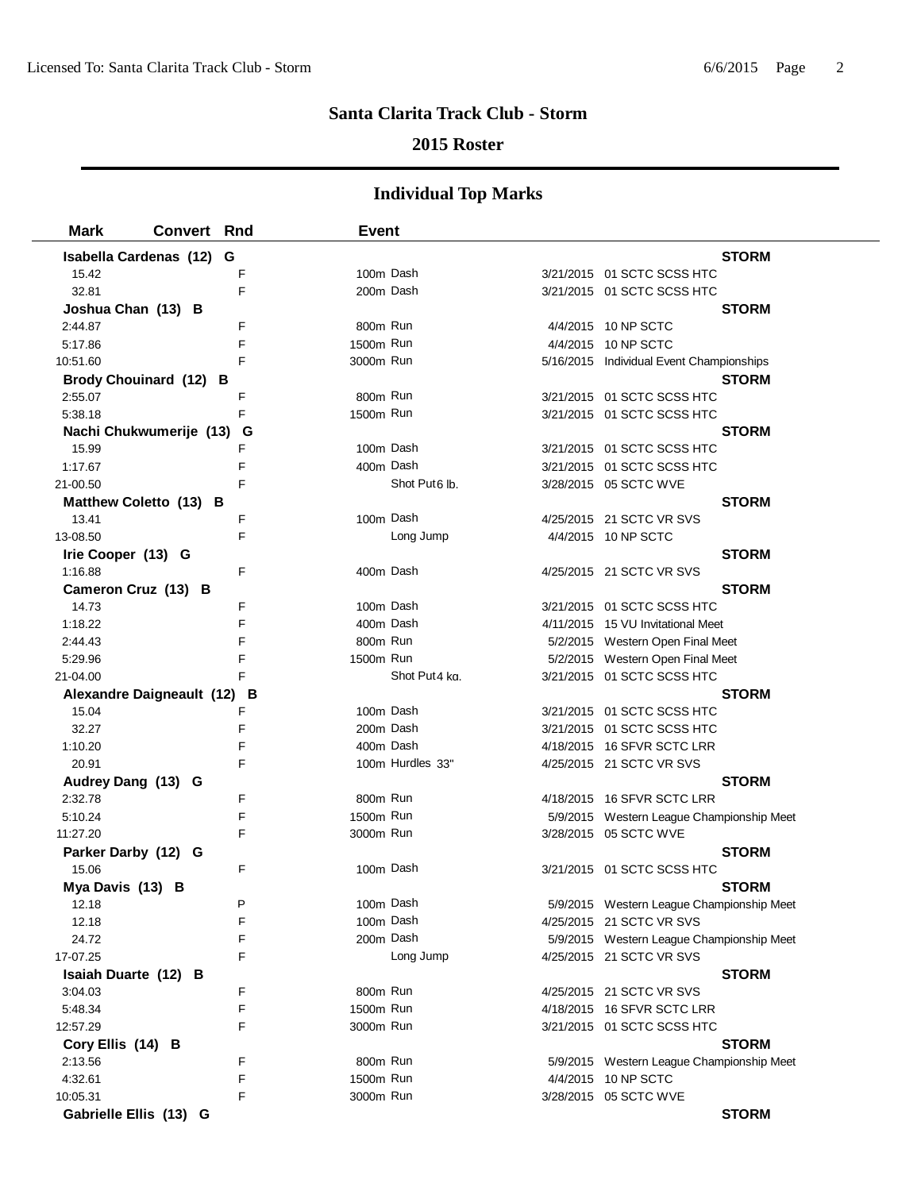## **2015 Roster**

| <b>Mark</b>                      | <b>Convert Rnd</b> |        | <b>Event</b>          |                           |                                                                  |
|----------------------------------|--------------------|--------|-----------------------|---------------------------|------------------------------------------------------------------|
| Isabella Cardenas (12)           |                    | G      |                       |                           | <b>STORM</b>                                                     |
| 15.42                            |                    | F      | 100m Dash             |                           | 3/21/2015 01 SCTC SCSS HTC                                       |
| 32.81                            |                    | F      | 200m Dash             |                           | 3/21/2015 01 SCTC SCSS HTC                                       |
| Joshua Chan (13) B               |                    |        |                       |                           | <b>STORM</b>                                                     |
| 2:44.87                          |                    | F      | 800m Run              |                           | 4/4/2015 10 NP SCTC                                              |
| 5:17.86                          |                    | F      | 1500m Run             |                           | 4/4/2015 10 NP SCTC                                              |
| 10:51.60                         |                    | F      | 3000m Run             |                           | 5/16/2015 Individual Event Championships                         |
| Brody Chouinard (12) B           |                    |        |                       |                           | <b>STORM</b>                                                     |
| 2:55.07                          |                    | F      | 800m Run              |                           | 3/21/2015 01 SCTC SCSS HTC                                       |
| 5:38.18                          |                    | F      | 1500m Run             |                           | 3/21/2015 01 SCTC SCSS HTC                                       |
| Nachi Chukwumerije (13)          |                    | G      |                       |                           | <b>STORM</b>                                                     |
| 15.99                            |                    | F      | 100m Dash             |                           | 3/21/2015 01 SCTC SCSS HTC                                       |
| 1:17.67                          |                    | F      | 400m Dash             |                           | 3/21/2015 01 SCTC SCSS HTC                                       |
| 21-00.50                         |                    | F      |                       | Shot Put <sub>6</sub> lb. | 3/28/2015 05 SCTC WVE                                            |
| Matthew Coletto (13) B           |                    |        |                       |                           | <b>STORM</b>                                                     |
| 13.41                            |                    | F      | 100m Dash             |                           | 4/25/2015 21 SCTC VR SVS                                         |
| 13-08.50                         |                    | F      |                       | Long Jump                 | 4/4/2015 10 NP SCTC                                              |
| Irie Cooper (13) G               |                    |        |                       |                           | <b>STORM</b>                                                     |
| 1:16.88                          |                    | F      | 400m Dash             |                           | 4/25/2015 21 SCTC VR SVS                                         |
| Cameron Cruz (13) B              |                    |        |                       |                           | <b>STORM</b>                                                     |
| 14.73                            |                    | F      | 100m Dash             |                           | 3/21/2015 01 SCTC SCSS HTC                                       |
| 1:18.22                          |                    | F      | 400m Dash             |                           | 4/11/2015 15 VU Invitational Meet                                |
| 2:44.43                          |                    | F      | 800m Run              |                           | 5/2/2015 Western Open Final Meet                                 |
| 5:29.96                          |                    | F      | 1500m Run             |                           | 5/2/2015 Western Open Final Meet                                 |
| 21-04.00                         |                    |        |                       | Shot Put4 kg.             | 3/21/2015 01 SCTC SCSS HTC                                       |
| <b>Alexandre Daigneault (12)</b> |                    | в      |                       |                           | <b>STORM</b>                                                     |
| 15.04                            |                    | F      | 100m Dash             |                           | 3/21/2015 01 SCTC SCSS HTC                                       |
| 32.27                            |                    | F      | 200m Dash             |                           | 3/21/2015 01 SCTC SCSS HTC                                       |
| 1:10.20                          |                    | F      |                       | 400m Dash                 | 4/18/2015 16 SFVR SCTC LRR                                       |
| 20.91                            |                    | F      |                       | 100m Hurdles 33"          | 4/25/2015 21 SCTC VR SVS                                         |
| Audrey Dang (13) G               |                    |        |                       |                           | <b>STORM</b>                                                     |
| 2:32.78                          |                    | F      | 800m Run              |                           | 4/18/2015 16 SFVR SCTC LRR                                       |
| 5:10.24                          |                    | F      | 1500m Run             |                           | 5/9/2015 Western League Championship Meet                        |
| 11:27.20                         |                    | F      | 3000m Run             |                           | 3/28/2015 05 SCTC WVE                                            |
| Parker Darby (12) G              |                    |        |                       |                           | <b>STORM</b>                                                     |
| 15.06                            |                    | F      | 100m Dash             |                           | 3/21/2015 01 SCTC SCSS HTC                                       |
| Mya Davis (13) B                 |                    |        |                       |                           | <b>STORM</b>                                                     |
| 12.18                            |                    | P      | 100m Dash             |                           | 5/9/2015 Western League Championship Meet                        |
| 12.18                            |                    | F      | 100m Dash             |                           | 4/25/2015 21 SCTC VR SVS                                         |
| 24.72                            |                    | F      |                       | 200m Dash                 | 5/9/2015 Western League Championship Meet                        |
| 17-07.25                         |                    | F      |                       | Long Jump                 | 4/25/2015 21 SCTC VR SVS                                         |
| Isaiah Duarte (12) B             |                    |        |                       |                           | <b>STORM</b>                                                     |
| 3:04.03                          |                    | F<br>F | 800m Run              |                           | 4/25/2015 21 SCTC VR SVS                                         |
| 5:48.34                          |                    |        | 1500m Run             |                           | 4/18/2015 16 SFVR SCTC LRR                                       |
| 12:57.29                         |                    | F      | 3000m Run             |                           | 3/21/2015 01 SCTC SCSS HTC                                       |
| Cory Ellis (14) B                |                    |        |                       |                           | <b>STORM</b>                                                     |
| 2:13.56                          |                    | F<br>F | 800m Run<br>1500m Run |                           | 5/9/2015 Western League Championship Meet<br>4/4/2015 10 NP SCTC |
| 4:32.61                          |                    | F      |                       |                           |                                                                  |
| 10:05.31                         |                    |        | 3000m Run             |                           | 3/28/2015 05 SCTC WVE                                            |
| Gabrielle Ellis (13) G           |                    |        |                       |                           | <b>STORM</b>                                                     |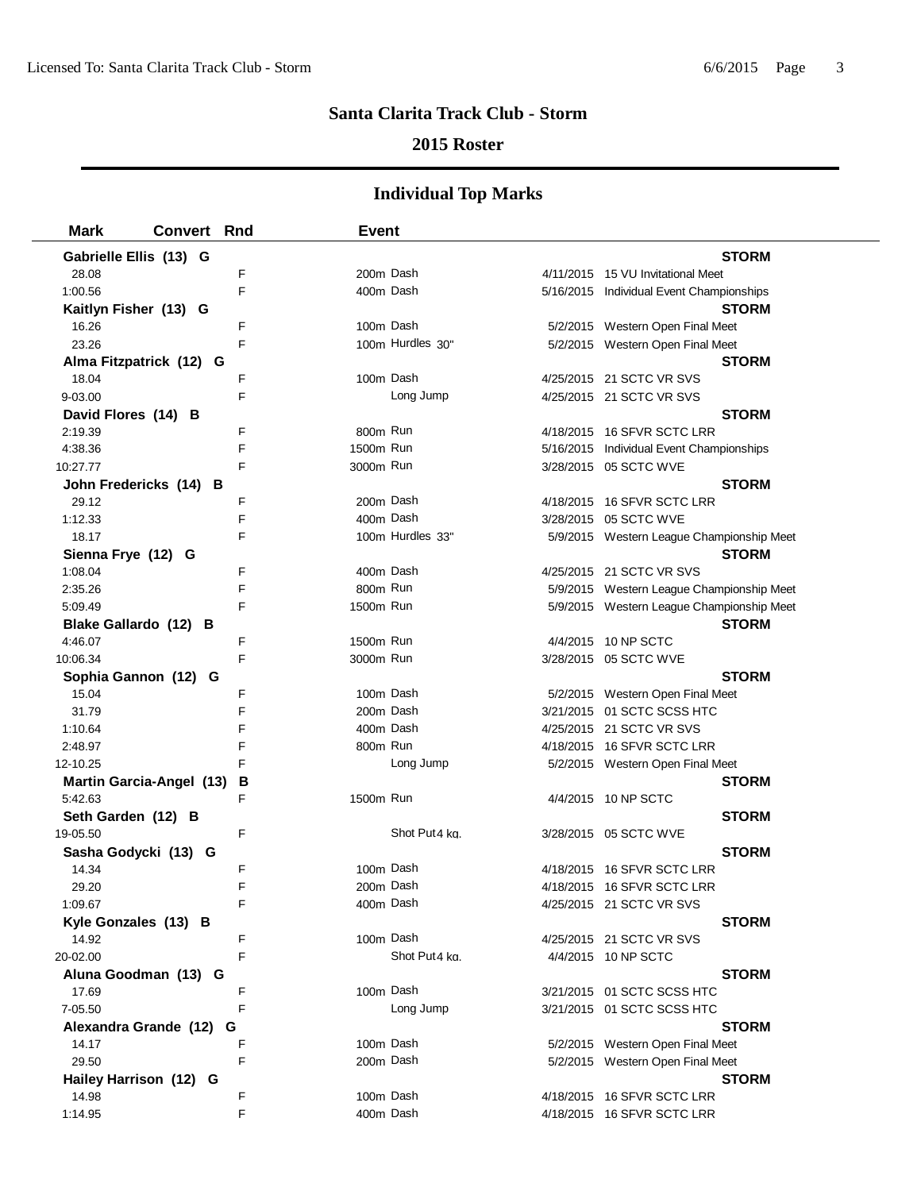### **2015 Roster**

| <b>Mark</b>                     | <b>Convert Rnd</b> |   | <b>Event</b> |                  |                                           |
|---------------------------------|--------------------|---|--------------|------------------|-------------------------------------------|
| Gabrielle Ellis (13) G          |                    |   |              |                  | <b>STORM</b>                              |
| 28.08                           |                    | F | 200m Dash    |                  | 4/11/2015 15 VU Invitational Meet         |
| 1:00.56                         |                    | E | 400m Dash    |                  | 5/16/2015 Individual Event Championships  |
| Kaitlyn Fisher (13) G           |                    |   |              |                  | <b>STORM</b>                              |
| 16.26                           |                    | F | 100m Dash    |                  | 5/2/2015 Western Open Final Meet          |
| 23.26                           |                    | F |              | 100m Hurdles 30" | 5/2/2015 Western Open Final Meet          |
| Alma Fitzpatrick (12) G         |                    |   |              |                  | <b>STORM</b>                              |
| 18.04                           |                    | F | 100m Dash    |                  | 4/25/2015 21 SCTC VR SVS                  |
| 9-03.00                         |                    | F |              | Long Jump        | 4/25/2015 21 SCTC VR SVS                  |
| David Flores (14) B             |                    |   |              |                  | <b>STORM</b>                              |
| 2:19.39                         |                    | F | 800m Run     |                  | 4/18/2015 16 SFVR SCTC LRR                |
| 4:38.36                         |                    | F | 1500m Run    |                  | 5/16/2015 Individual Event Championships  |
| 10:27.77                        |                    | F | 3000m Run    |                  | 3/28/2015 05 SCTC WVE                     |
| John Fredericks (14) B          |                    |   |              |                  | <b>STORM</b>                              |
| 29.12                           |                    | F | 200m Dash    |                  | 4/18/2015 16 SFVR SCTC LRR                |
| 1:12.33                         |                    | F | 400m Dash    |                  | 3/28/2015 05 SCTC WVE                     |
| 18.17                           |                    | F |              | 100m Hurdles 33" | 5/9/2015 Western League Championship Meet |
| Sienna Frye (12) G              |                    |   |              |                  | <b>STORM</b>                              |
| 1:08.04                         |                    | F | 400m Dash    |                  | 4/25/2015 21 SCTC VR SVS                  |
| 2:35.26                         |                    | F | 800m Run     |                  | 5/9/2015 Western League Championship Meet |
| 5:09.49                         |                    | F | 1500m Run    |                  | 5/9/2015 Western League Championship Meet |
| Blake Gallardo (12) B           |                    |   |              |                  | <b>STORM</b>                              |
| 4:46.07                         |                    | F | 1500m Run    |                  | 4/4/2015 10 NP SCTC                       |
| 10:06.34                        |                    | F | 3000m Run    |                  | 3/28/2015 05 SCTC WVE                     |
| Sophia Gannon (12) G            |                    |   |              |                  | <b>STORM</b>                              |
| 15.04                           |                    | F | 100m Dash    |                  | 5/2/2015 Western Open Final Meet          |
| 31.79                           |                    | F | 200m Dash    |                  | 3/21/2015 01 SCTC SCSS HTC                |
| 1:10.64                         |                    | F | 400m Dash    |                  | 4/25/2015 21 SCTC VR SVS                  |
| 2:48.97                         |                    | F | 800m Run     |                  | 4/18/2015 16 SFVR SCTC LRR                |
| 12-10.25                        |                    | F |              | Long Jump        | 5/2/2015 Western Open Final Meet          |
| <b>Martin Garcia-Angel (13)</b> |                    | В |              |                  | <b>STORM</b>                              |
| 5:42.63                         |                    | F | 1500m Run    |                  | 4/4/2015 10 NP SCTC                       |
| Seth Garden (12) B              |                    |   |              |                  | <b>STORM</b>                              |
| 19-05.50                        |                    | F |              | Shot Put4 kg.    | 3/28/2015 05 SCTC WVE                     |
| Sasha Godycki (13) G            |                    |   |              |                  | <b>STORM</b>                              |
| 14.34                           |                    | F | 100m Dash    |                  | 4/18/2015 16 SFVR SCTC LRR                |
| 29.20                           |                    | F | 200m Dash    |                  | 4/18/2015 16 SFVR SCTC LRR                |
| 1:09.67                         |                    |   | 400m Dash    |                  | 4/25/2015 21 SCTC VR SVS                  |
| Kyle Gonzales (13) B            |                    |   |              |                  | <b>STORM</b>                              |
| 14.92                           |                    | F | 100m Dash    |                  | 4/25/2015 21 SCTC VR SVS                  |
| 20-02.00                        |                    | F |              | Shot Put4 kg.    | 4/4/2015 10 NP SCTC                       |
| Aluna Goodman (13) G            |                    |   |              |                  | <b>STORM</b>                              |
| 17.69                           |                    | F | 100m Dash    |                  | 3/21/2015 01 SCTC SCSS HTC                |
| 7-05.50                         |                    | F |              | Long Jump        | 3/21/2015 01 SCTC SCSS HTC                |
| Alexandra Grande (12)           |                    | G |              |                  | <b>STORM</b>                              |
| 14.17                           |                    | F | 100m Dash    |                  | 5/2/2015 Western Open Final Meet          |
| 29.50                           |                    | F | 200m Dash    |                  | 5/2/2015 Western Open Final Meet          |
| Hailey Harrison (12) G          |                    |   |              |                  | <b>STORM</b>                              |
| 14.98                           |                    | F | 100m Dash    |                  | 4/18/2015 16 SFVR SCTC LRR                |
| 1:14.95                         |                    | F | 400m Dash    |                  | 4/18/2015 16 SFVR SCTC LRR                |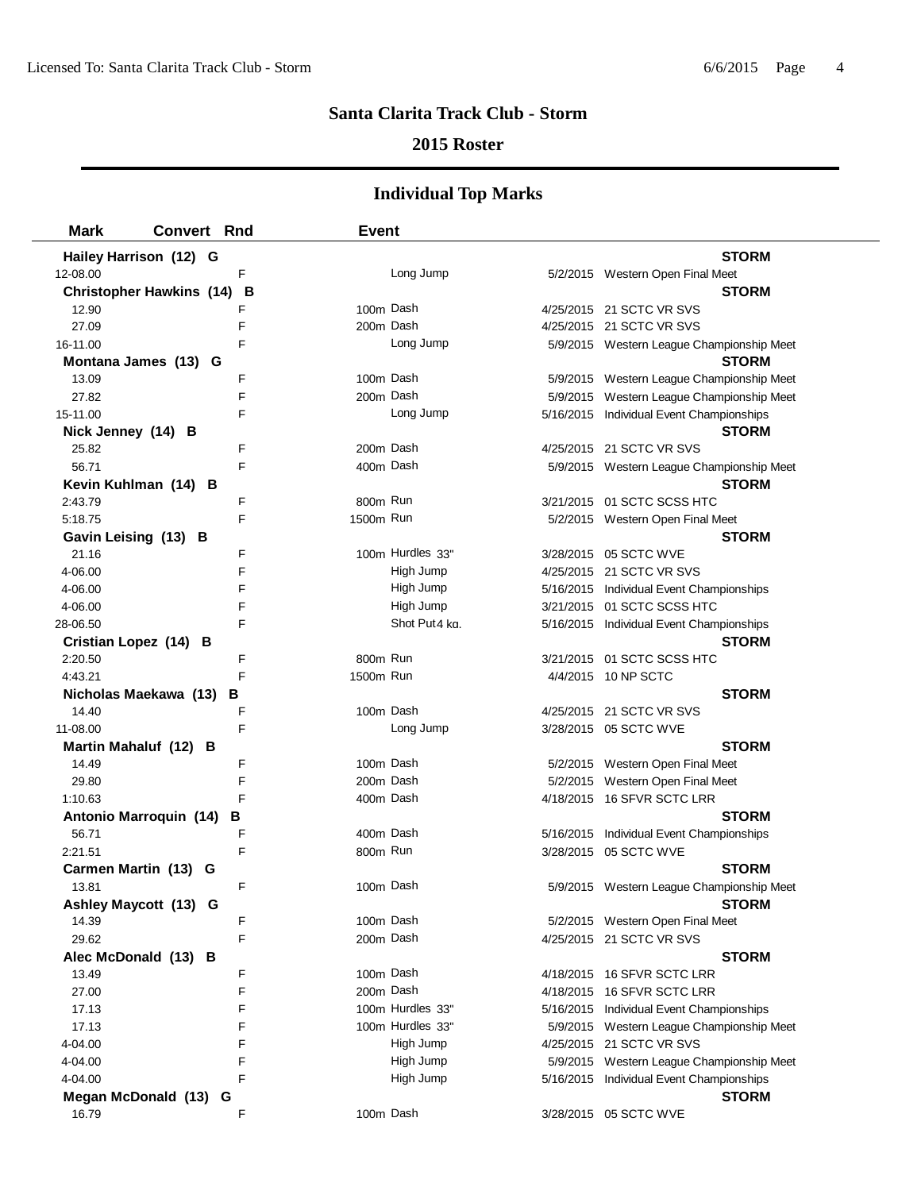#### **2015 Roster**

| <b>Mark</b>        | <b>Convert Rnd</b>                   | <b>Event</b> |                  |                                           |
|--------------------|--------------------------------------|--------------|------------------|-------------------------------------------|
|                    | Hailey Harrison (12) G               |              |                  | <b>STORM</b>                              |
| 12-08.00           | F                                    |              | Long Jump        | 5/2/2015 Western Open Final Meet          |
|                    | <b>Christopher Hawkins (14)</b><br>В |              |                  | <b>STORM</b>                              |
| 12.90              | F                                    | 100m Dash    |                  | 4/25/2015 21 SCTC VR SVS                  |
| 27.09              | F                                    | 200m Dash    |                  | 4/25/2015 21 SCTC VR SVS                  |
| 16-11.00           | F                                    |              | Long Jump        | 5/9/2015 Western League Championship Meet |
|                    | Montana James (13) G                 |              |                  | <b>STORM</b>                              |
| 13.09              | F                                    | 100m Dash    |                  | 5/9/2015 Western League Championship Meet |
| 27.82              | F                                    | 200m Dash    |                  | 5/9/2015 Western League Championship Meet |
| 15-11.00           | F                                    |              | Long Jump        | 5/16/2015 Individual Event Championships  |
| Nick Jenney (14) B |                                      |              |                  | <b>STORM</b>                              |
| 25.82              | F                                    | 200m Dash    |                  | 4/25/2015 21 SCTC VR SVS                  |
| 56.71              | F                                    |              | 400m Dash        | 5/9/2015 Western League Championship Meet |
|                    | Kevin Kuhlman (14) B                 |              |                  | <b>STORM</b>                              |
| 2:43.79            | F                                    | 800m Run     |                  | 3/21/2015 01 SCTC SCSS HTC                |
| 5:18.75            | F                                    | 1500m Run    |                  | 5/2/2015 Western Open Final Meet          |
|                    | Gavin Leising (13) B                 |              |                  | <b>STORM</b>                              |
| 21.16              | F                                    |              | 100m Hurdles 33" | 3/28/2015 05 SCTC WVE                     |
| 4-06.00            | F                                    |              | High Jump        | 4/25/2015 21 SCTC VR SVS                  |
| 4-06.00            | F                                    |              | High Jump        | 5/16/2015 Individual Event Championships  |
| 4-06.00            | F                                    |              | High Jump        | 3/21/2015 01 SCTC SCSS HTC                |
| 28-06.50           | F                                    |              | Shot Put4 ka.    | 5/16/2015 Individual Event Championships  |
|                    | Cristian Lopez (14) B                |              |                  | <b>STORM</b>                              |
| 2:20.50            | F                                    | 800m Run     |                  | 3/21/2015 01 SCTC SCSS HTC                |
| 4:43.21            | F                                    | 1500m Run    |                  | 4/4/2015 10 NP SCTC                       |
|                    | Nicholas Maekawa (13)<br>В           |              |                  | <b>STORM</b>                              |
| 14.40              | F                                    | 100m Dash    |                  | 4/25/2015 21 SCTC VR SVS                  |
| 11-08.00           | F                                    |              | Long Jump        | 3/28/2015 05 SCTC WVE                     |
|                    | Martin Mahaluf (12) B                |              |                  | <b>STORM</b>                              |
| 14.49              | F                                    |              | 100m Dash        | 5/2/2015 Western Open Final Meet          |
| 29.80              | F                                    |              | 200m Dash        | 5/2/2015 Western Open Final Meet          |
| 1:10.63            | F                                    |              | 400m Dash        | 4/18/2015 16 SFVR SCTC LRR                |
|                    | <b>Antonio Marroquin (14)</b><br>в   |              |                  | <b>STORM</b>                              |
| 56.71              | F                                    |              | 400m Dash        | 5/16/2015 Individual Event Championships  |
| 2:21.51            | F                                    | 800m Run     |                  | 3/28/2015 05 SCTC WVE                     |
|                    | Carmen Martin (13) G                 |              |                  | <b>STORM</b>                              |
| 13.81              | F                                    | 100m Dash    |                  | 5/9/2015 Western League Championship Meet |
|                    | Ashley Maycott (13) G                |              |                  | <b>STORM</b>                              |
| 14.39              | F                                    |              | 100m Dash        | 5/2/2015 Western Open Final Meet          |
| 29.62              | F                                    |              | 200m Dash        | 4/25/2015 21 SCTC VR SVS                  |
|                    | Alec McDonald (13) B                 |              |                  | <b>STORM</b>                              |
| 13.49              | F                                    |              | 100m Dash        | 4/18/2015 16 SFVR SCTC LRR                |
| 27.00              | F                                    | 200m Dash    |                  | 4/18/2015 16 SFVR SCTC LRR                |
| 17.13              | F                                    |              | 100m Hurdles 33" | 5/16/2015 Individual Event Championships  |
| 17.13              | F                                    |              | 100m Hurdles 33" | 5/9/2015 Western League Championship Meet |
| 4-04.00            | F                                    |              | High Jump        | 4/25/2015 21 SCTC VR SVS                  |
| 4-04.00            | F                                    |              | High Jump        | 5/9/2015 Western League Championship Meet |
| 4-04.00            | F                                    |              | High Jump        | 5/16/2015 Individual Event Championships  |
|                    | Megan McDonald (13) G                |              |                  | <b>STORM</b>                              |
| 16.79              | F                                    |              | 100m Dash        | 3/28/2015 05 SCTC WVE                     |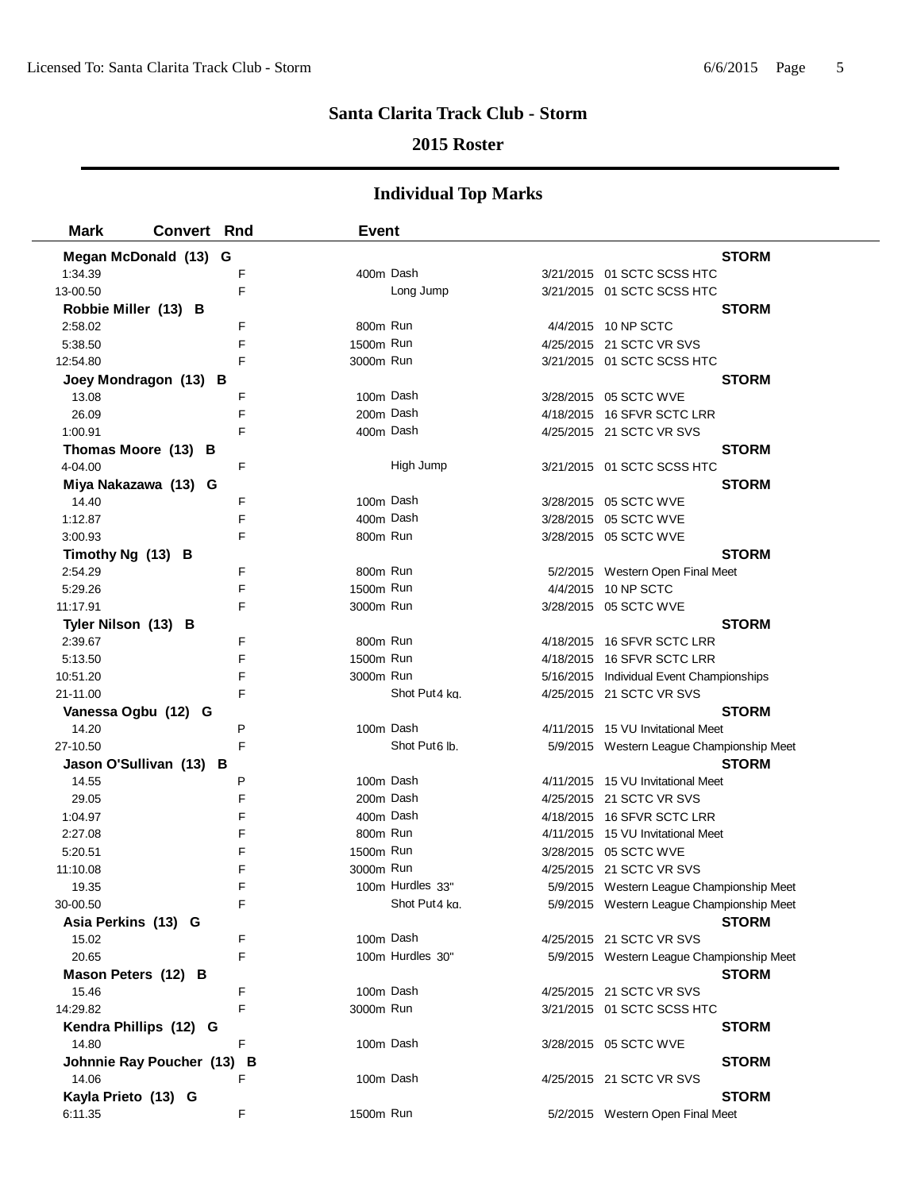## **2015 Roster**

| <b>Mark</b>             | <b>Convert Rnd</b>       |   | <b>Event</b> |                           |                                           |
|-------------------------|--------------------------|---|--------------|---------------------------|-------------------------------------------|
|                         | Megan McDonald (13) G    |   |              |                           | <b>STORM</b>                              |
| 1:34.39                 |                          | F |              | 400m Dash                 | 3/21/2015 01 SCTC SCSS HTC                |
| 13-00.50                |                          | F |              | Long Jump                 | 3/21/2015 01 SCTC SCSS HTC                |
| Robbie Miller (13) B    |                          |   |              |                           | <b>STORM</b>                              |
| 2:58.02                 |                          | F | 800m Run     |                           | 4/4/2015 10 NP SCTC                       |
| 5:38.50                 |                          | F | 1500m Run    |                           | 4/25/2015 21 SCTC VR SVS                  |
| 12:54.80                |                          | F | 3000m Run    |                           | 3/21/2015 01 SCTC SCSS HTC                |
| Joey Mondragon (13) B   |                          |   |              |                           | <b>STORM</b>                              |
| 13.08                   |                          | F |              | 100m Dash                 | 3/28/2015 05 SCTC WVE                     |
| 26.09                   |                          | F |              | 200m Dash                 | 4/18/2015 16 SFVR SCTC LRR                |
| 1:00.91                 |                          | F |              | 400m Dash                 | 4/25/2015 21 SCTC VR SVS                  |
| Thomas Moore (13) B     |                          |   |              |                           | <b>STORM</b>                              |
| 4-04.00                 |                          | F |              | High Jump                 | 3/21/2015 01 SCTC SCSS HTC                |
| Miya Nakazawa (13) G    |                          |   |              |                           | <b>STORM</b>                              |
| 14.40                   |                          | F |              | 100m Dash                 | 3/28/2015 05 SCTC WVE                     |
| 1:12.87                 |                          | F |              | 400m Dash                 | 3/28/2015 05 SCTC WVE                     |
| 3:00.93                 |                          | F | 800m Run     |                           | 3/28/2015 05 SCTC WVE                     |
| Timothy Ng (13) B       |                          |   |              |                           | <b>STORM</b>                              |
| 2:54.29                 |                          | F |              | 800m Run                  | 5/2/2015 Western Open Final Meet          |
| 5:29.26                 |                          | F | 1500m Run    |                           | 4/4/2015 10 NP SCTC                       |
| 11:17.91                |                          | F | 3000m Run    |                           | 3/28/2015 05 SCTC WVE                     |
| Tyler Nilson (13) B     |                          |   |              |                           | <b>STORM</b>                              |
| 2:39.67                 |                          | F | 800m Run     |                           | 4/18/2015 16 SFVR SCTC LRR                |
| 5:13.50                 |                          | F | 1500m Run    |                           | 4/18/2015 16 SFVR SCTC LRR                |
| 10:51.20                |                          | F | 3000m Run    |                           | 5/16/2015 Individual Event Championships  |
| 21-11.00                |                          | F |              | Shot Put4 kg.             | 4/25/2015 21 SCTC VR SVS                  |
| Vanessa Ogbu (12) G     |                          |   |              |                           | <b>STORM</b>                              |
| 14.20                   |                          | P |              | 100m Dash                 | 4/11/2015 15 VU Invitational Meet         |
| 27-10.50                |                          | F |              | Shot Put <sub>6</sub> lb. | 5/9/2015 Western League Championship Meet |
| Jason O'Sullivan (13) B |                          |   |              |                           | <b>STORM</b>                              |
| 14.55                   |                          | P |              | 100m Dash                 | 4/11/2015 15 VU Invitational Meet         |
| 29.05                   |                          | F |              | 200m Dash                 | 4/25/2015 21 SCTC VR SVS                  |
| 1:04.97                 |                          | F |              | 400m Dash                 | 4/18/2015 16 SFVR SCTC LRR                |
| 2:27.08                 |                          | F |              | 800m Run                  | 4/11/2015 15 VU Invitational Meet         |
| 5:20.51                 |                          | F | 1500m Run    |                           | 3/28/2015 05 SCTC WVE                     |
| 11:10.08                |                          | F | 3000m Run    |                           | 4/25/2015 21 SCTC VR SVS                  |
| 19.35                   |                          | F |              | 100m Hurdles 33"          | 5/9/2015 Western League Championship Meet |
| 30-00.50                |                          | F |              | Shot Put4 ka.             | 5/9/2015 Western League Championship Meet |
| Asia Perkins (13) G     |                          |   |              |                           | <b>STORM</b>                              |
| 15.02                   |                          | F |              | 100m Dash                 | 4/25/2015 21 SCTC VR SVS                  |
| 20.65                   |                          | F |              | 100m Hurdles 30"          | 5/9/2015 Western League Championship Meet |
| Mason Peters (12) B     |                          |   |              |                           | <b>STORM</b>                              |
| 15.46                   |                          | F |              | 100m Dash                 | 4/25/2015 21 SCTC VR SVS                  |
| 14:29.82                |                          | F | 3000m Run    |                           | 3/21/2015 01 SCTC SCSS HTC                |
| Kendra Phillips (12) G  |                          |   |              |                           | <b>STORM</b>                              |
| 14.80                   |                          | F |              | 100m Dash                 | 3/28/2015 05 SCTC WVE                     |
|                         | Johnnie Ray Poucher (13) | в |              |                           | <b>STORM</b>                              |
| 14.06                   |                          | F |              | 100m Dash                 | 4/25/2015 21 SCTC VR SVS                  |
| Kayla Prieto (13) G     |                          |   |              |                           | <b>STORM</b>                              |
| 6:11.35                 |                          | F | 1500m Run    |                           | 5/2/2015 Western Open Final Meet          |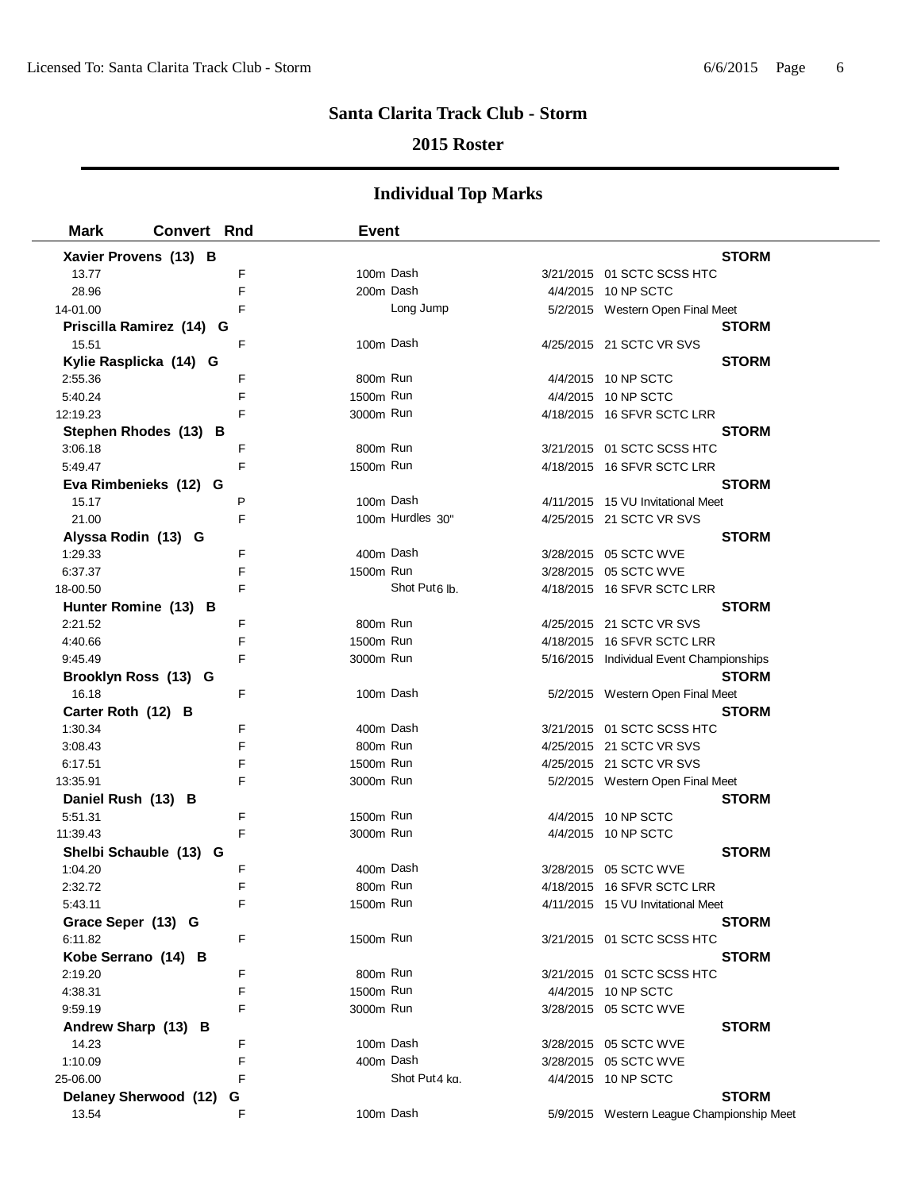### **2015 Roster**

| <b>Mark</b>                   | <b>Convert Rnd</b>       |        | Event     |                           |                                           |              |
|-------------------------------|--------------------------|--------|-----------|---------------------------|-------------------------------------------|--------------|
|                               | Xavier Provens (13) B    |        |           |                           |                                           | <b>STORM</b> |
| 13.77                         |                          | F      | 100m Dash |                           | 3/21/2015 01 SCTC SCSS HTC                |              |
| 28.96                         |                          | F      | 200m Dash |                           | 4/4/2015 10 NP SCTC                       |              |
| 14-01.00                      |                          | F      |           | Long Jump                 | 5/2/2015 Western Open Final Meet          |              |
|                               | Priscilla Ramirez (14) G |        |           |                           |                                           | <b>STORM</b> |
| 15.51                         |                          | F      | 100m Dash |                           | 4/25/2015 21 SCTC VR SVS                  |              |
|                               | Kylie Rasplicka (14) G   |        |           |                           |                                           | <b>STORM</b> |
| 2:55.36                       |                          | F      | 800m Run  |                           | 4/4/2015 10 NP SCTC                       |              |
| 5:40.24                       |                          | F      | 1500m Run |                           | 4/4/2015 10 NP SCTC                       |              |
| 12:19.23                      |                          | F      | 3000m Run |                           | 4/18/2015 16 SFVR SCTC LRR                |              |
|                               | Stephen Rhodes (13) B    |        |           |                           |                                           | <b>STORM</b> |
| 3:06.18                       |                          | F      | 800m Run  |                           | 3/21/2015 01 SCTC SCSS HTC                |              |
| 5:49.47                       |                          | F      | 1500m Run |                           | 4/18/2015 16 SFVR SCTC LRR                |              |
|                               | Eva Rimbenieks (12) G    |        |           |                           |                                           | <b>STORM</b> |
| 15.17                         |                          | P      | 100m Dash |                           | 4/11/2015 15 VU Invitational Meet         |              |
| 21.00                         |                          | F      |           | 100m Hurdles 30"          | 4/25/2015 21 SCTC VR SVS                  |              |
| Alyssa Rodin (13) G           |                          |        |           |                           |                                           | <b>STORM</b> |
| 1:29.33                       |                          | F      | 400m Dash |                           | 3/28/2015 05 SCTC WVE                     |              |
| 6:37.37                       |                          | F      | 1500m Run |                           | 3/28/2015 05 SCTC WVE                     |              |
| 18-00.50                      |                          | F      |           | Shot Put <sub>6</sub> lb. | 4/18/2015 16 SFVR SCTC LRR                |              |
|                               | Hunter Romine (13) B     |        |           |                           |                                           | <b>STORM</b> |
| 2:21.52                       |                          | F      | 800m Run  |                           | 4/25/2015 21 SCTC VR SVS                  |              |
| 4:40.66                       |                          | F      | 1500m Run |                           | 4/18/2015 16 SFVR SCTC LRR                |              |
| 9:45.49                       |                          | F      | 3000m Run |                           | 5/16/2015 Individual Event Championships  |              |
|                               | Brooklyn Ross (13) G     |        |           |                           |                                           | <b>STORM</b> |
| 16.18                         |                          | F      | 100m Dash |                           | 5/2/2015 Western Open Final Meet          |              |
| Carter Roth (12) B            |                          |        |           |                           |                                           | <b>STORM</b> |
| 1:30.34                       |                          | F      | 400m Dash |                           | 3/21/2015 01 SCTC SCSS HTC                |              |
| 3:08.43                       |                          | F      | 800m Run  |                           | 4/25/2015 21 SCTC VR SVS                  |              |
| 6:17.51                       |                          | F<br>F | 1500m Run |                           | 4/25/2015 21 SCTC VR SVS                  |              |
| 13:35.91                      |                          |        | 3000m Run |                           | 5/2/2015 Western Open Final Meet          |              |
| Daniel Rush (13) B<br>5:51.31 |                          | F      | 1500m Run |                           | 4/4/2015 10 NP SCTC                       | <b>STORM</b> |
| 11:39.43                      |                          | F      | 3000m Run |                           | 4/4/2015 10 NP SCTC                       |              |
|                               | Shelbi Schauble (13) G   |        |           |                           |                                           | <b>STORM</b> |
| 1:04.20                       |                          | F      | 400m Dash |                           | 3/28/2015 05 SCTC WVE                     |              |
| 2:32.72                       |                          | F      | 800m Run  |                           | 4/18/2015 16 SFVR SCTC LRR                |              |
| 5:43.11                       |                          |        | 1500m Run |                           | 4/11/2015 15 VU Invitational Meet         |              |
| Grace Seper (13) G            |                          |        |           |                           |                                           | <b>STORM</b> |
| 6:11.82                       |                          | F      | 1500m Run |                           | 3/21/2015 01 SCTC SCSS HTC                |              |
| Kobe Serrano (14) B           |                          |        |           |                           |                                           | <b>STORM</b> |
| 2:19.20                       |                          | F      | 800m Run  |                           | 3/21/2015 01 SCTC SCSS HTC                |              |
| 4:38.31                       |                          | F      | 1500m Run |                           | 4/4/2015 10 NP SCTC                       |              |
| 9:59.19                       |                          | F      | 3000m Run |                           | 3/28/2015 05 SCTC WVE                     |              |
| Andrew Sharp (13) B           |                          |        |           |                           |                                           | <b>STORM</b> |
| 14.23                         |                          | F      | 100m Dash |                           | 3/28/2015  05 SCTC WVE                    |              |
| 1:10.09                       |                          | F      | 400m Dash |                           | 3/28/2015 05 SCTC WVE                     |              |
| 25-06.00                      |                          | F      |           | Shot Put4 kg.             | 4/4/2015 10 NP SCTC                       |              |
|                               | Delaney Sherwood (12)    | G      |           |                           |                                           | <b>STORM</b> |
| 13.54                         |                          | F      | 100m Dash |                           | 5/9/2015 Western League Championship Meet |              |
|                               |                          |        |           |                           |                                           |              |